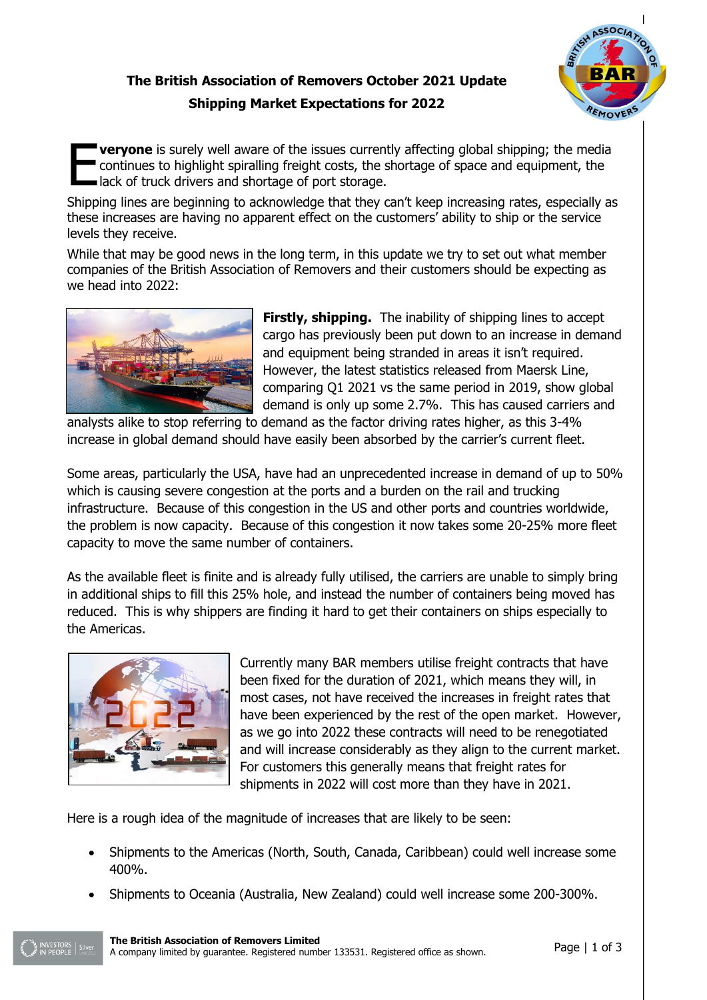## **The British Association of Removers October 2021 Update Shipping Market Expectations for 2022**



**veryone** is surely well aware of the issues currently affecting global shipping; the media continues to highlight spiralling freight costs, the shortage of space and equipment, the lack of truck drivers and shortage of port storage. E

Shipping lines are beginning to acknowledge that they can't keep increasing rates, especially as these increases are having no apparent effect on the customers' ability to ship or the service levels they receive.

While that may be good news in the long term, in this update we try to set out what member companies of the British Association of Removers and their customers should be expecting as we head into 2022:



**Firstly, shipping.** The inability of shipping lines to accept cargo has previously been put down to an increase in demand and equipment being stranded in areas it isn't required. However, the latest statistics released from Maersk Line, comparing Q1 2021 vs the same period in 2019, show global demand is only up some 2.7%. This has caused carriers and

analysts alike to stop referring to demand as the factor driving rates higher, as this 3-4% increase in global demand should have easily been absorbed by the carrier's current fleet.

Some areas, particularly the USA, have had an unprecedented increase in demand of up to 50% which is causing severe congestion at the ports and a burden on the rail and trucking infrastructure. Because of this congestion in the US and other ports and countries worldwide, the problem is now capacity. Because of this congestion it now takes some 20-25% more fleet capacity to move the same number of containers.

As the available fleet is finite and is already fully utilised, the carriers are unable to simply bring in additional ships to fill this 25% hole, and instead the number of containers being moved has reduced. This is why shippers are finding it hard to get their containers on ships especially to the Americas.



Currently many BAR members utilise freight contracts that have been fixed for the duration of 2021, which means they will, in most cases, not have received the increases in freight rates that have been experienced by the rest of the open market. However, as we go into 2022 these contracts will need to be renegotiated and will increase considerably as they align to the current market. For customers this generally means that freight rates for shipments in 2022 will cost more than they have in 2021.

Here is a rough idea of the magnitude of increases that are likely to be seen:

- Shipments to the Americas (North, South, Canada, Caribbean) could well increase some 400%.
- Shipments to Oceania (Australia, New Zealand) could well increase some 200-300%.

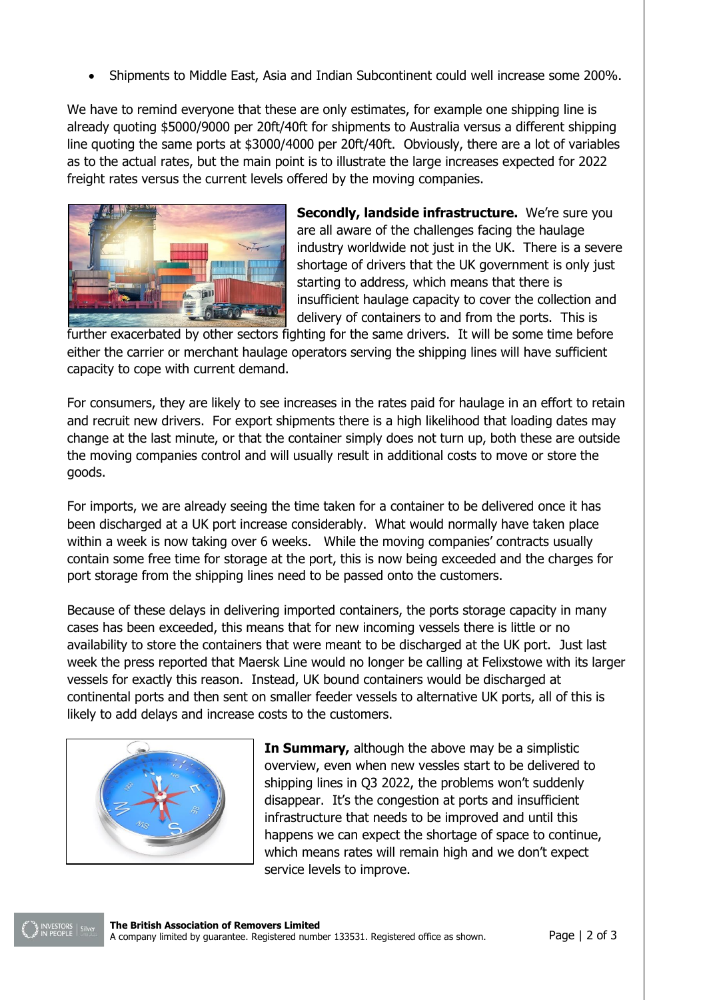Shipments to Middle East, Asia and Indian Subcontinent could well increase some 200%.

We have to remind everyone that these are only estimates, for example one shipping line is already quoting \$5000/9000 per 20ft/40ft for shipments to Australia versus a different shipping line quoting the same ports at \$3000/4000 per 20ft/40ft. Obviously, there are a lot of variables as to the actual rates, but the main point is to illustrate the large increases expected for 2022 freight rates versus the current levels offered by the moving companies.



**Secondly, landside infrastructure.** We're sure you are all aware of the challenges facing the haulage industry worldwide not just in the UK. There is a severe shortage of drivers that the UK government is only just starting to address, which means that there is insufficient haulage capacity to cover the collection and delivery of containers to and from the ports. This is

further exacerbated by other sectors fighting for the same drivers. It will be some time before either the carrier or merchant haulage operators serving the shipping lines will have sufficient capacity to cope with current demand.

For consumers, they are likely to see increases in the rates paid for haulage in an effort to retain and recruit new drivers. For export shipments there is a high likelihood that loading dates may change at the last minute, or that the container simply does not turn up, both these are outside the moving companies control and will usually result in additional costs to move or store the goods.

For imports, we are already seeing the time taken for a container to be delivered once it has been discharged at a UK port increase considerably. What would normally have taken place within a week is now taking over 6 weeks. While the moving companies' contracts usually contain some free time for storage at the port, this is now being exceeded and the charges for port storage from the shipping lines need to be passed onto the customers.

Because of these delays in delivering imported containers, the ports storage capacity in many cases has been exceeded, this means that for new incoming vessels there is little or no availability to store the containers that were meant to be discharged at the UK port. Just last week the press reported that Maersk Line would no longer be calling at Felixstowe with its larger vessels for exactly this reason. Instead, UK bound containers would be discharged at continental ports and then sent on smaller feeder vessels to alternative UK ports, all of this is likely to add delays and increase costs to the customers.



**In Summary,** although the above may be a simplistic overview, even when new vessles start to be delivered to shipping lines in Q3 2022, the problems won't suddenly disappear. It's the congestion at ports and insufficient infrastructure that needs to be improved and until this happens we can expect the shortage of space to continue, which means rates will remain high and we don't expect service levels to improve.